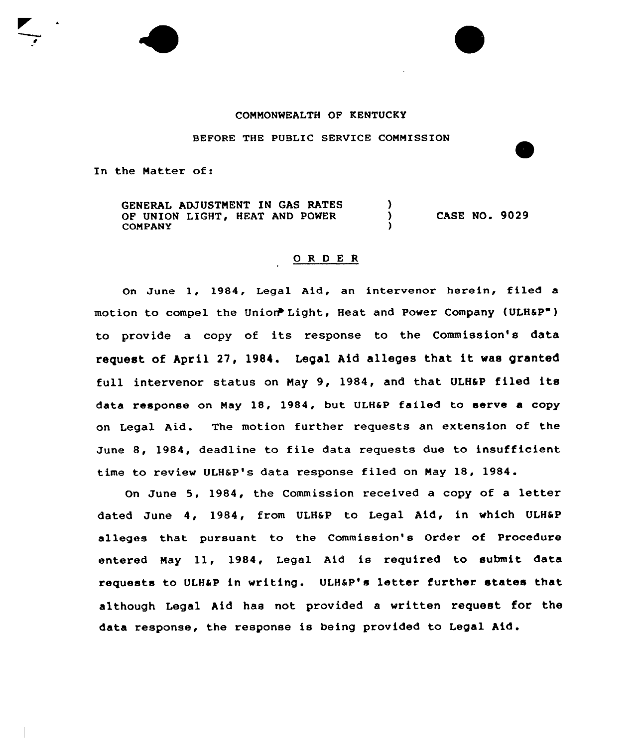## COMMONWEALTH OF KENTUCKY

BEFORE THE PUBLIC SERVICE CONNISSION

In the Natter of:

GENERAL ADJUSTMENT IN GAS RATES -) OF UNION LIGHT, HEAT AND POWER  $\mathbf{A}$ CASE NO. 9029 COMPANY

## 0 R <sup>D</sup> E R

On June 1, 1984, Legal Aid, an intervenor herein, filed <sup>a</sup> motion to compel the Union Light, Heat and Power Company (ULH&P") to provide a copy of its response to the Commission's data request of April 27, 1984. Legal Aid alleges that it was granted full intervenor status on Nay 9, 1984, and that ULHSP filed its data response on Nay 18, 1984, but ULH6P failed to serve a copy on Legal Aid. The motion further requests an extension of the June 8, 1984, deadline to file data requests due to insufficient time to review ULHaP's data response filed on Nay 18, <sup>1984</sup> .

On June 5, 1984, the Commission received a copy of a letter dated June 4, 1984, from ULHSP to Legal Aid, in which ULHSP alleges that pursuant to the Commission's Order of Procedure entered Nay ll, 1984, Legal Aid is required to submit data requests to ULH&P in writing. ULH&P's letter further states that although Legal Aid has not provided a written request for the data response, the response is being provided to Legal Aid .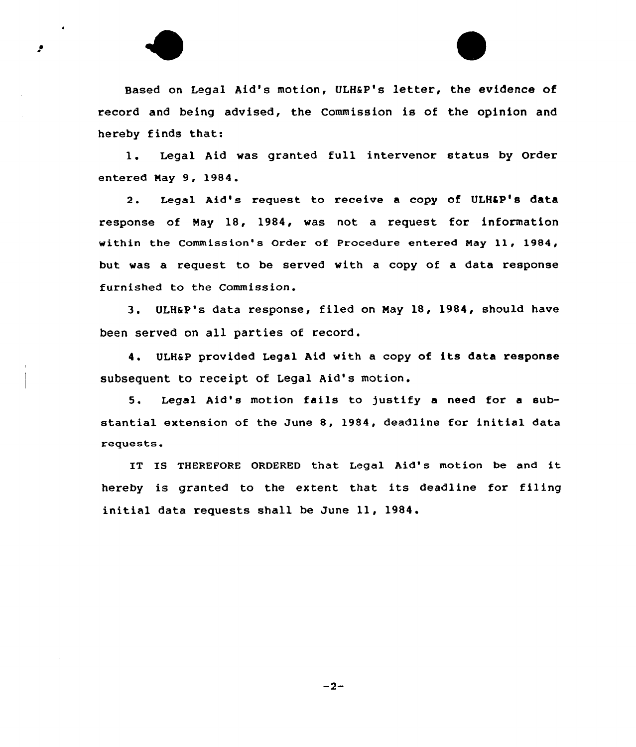

1. Legal Aid was granted full intervenor status by Order entered May 9, 1984.

2. Legal Aid's request to receive a copy of ULH&P's data response of Nay 18, 1984, was not a request for information within the Commission's Order of Procedure entered May ll, 1984, but was a request to be served with a copy of a data response furnished to the Commission.

3. ULHSP's data response, filed on May 18, 1984, should have been served on all parties of record.

4. ULH&P provided Legal Aid with a copy of its data response subsequent to receipt of Legal Aid's motion.

5. Legal Aid's motion fails to )ustify <sup>a</sup> need for <sup>a</sup> substantial extension of the June 8, 1984, deadline for initial data requests.

IT IS THEREFORE ORDERED that Legal Aid's motion be and it hereby is granted to the extent that its deadline for filing initial data requests shall be June ll, 1984.

 $-2-$